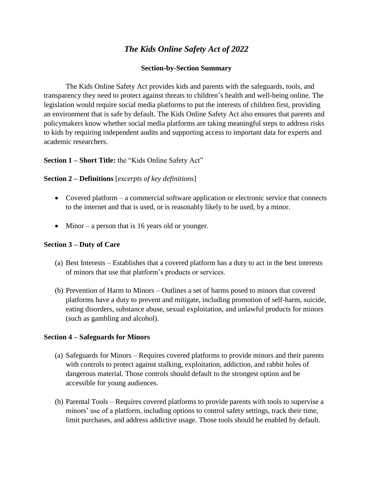# *The Kids Online Safety Act of 2022*

### **Section-by-Section Summary**

The Kids Online Safety Act provides kids and parents with the safeguards, tools, and transparency they need to protect against threats to children's health and well-being online. The legislation would require social media platforms to put the interests of children first, providing an environment that is safe by default. The Kids Online Safety Act also ensures that parents and policymakers know whether social media platforms are taking meaningful steps to address risks to kids by requiring independent audits and supporting access to important data for experts and academic researchers.

### **Section 1 – Short Title:** the "Kids Online Safety Act"

#### **Section 2 – Definitions** [*excerpts of key definitions*]

- Covered platform a commercial software application or electronic service that connects to the internet and that is used, or is reasonably likely to be used, by a minor.
- $\bullet$  Minor a person that is 16 years old or younger.

#### **Section 3 – Duty of Care**

- (a) Best Interests Establishes that a covered platform has a duty to act in the best interests of minors that use that platform's products or services.
- (b) Prevention of Harm to Minors Outlines a set of harms posed to minors that covered platforms have a duty to prevent and mitigate, including promotion of self-harm, suicide, eating disorders, substance abuse, sexual exploitation, and unlawful products for minors (such as gambling and alcohol).

#### **Section 4 – Safeguards for Minors**

- (a) Safeguards for Minors Requires covered platforms to provide minors and their parents with controls to protect against stalking, exploitation, addiction, and rabbit holes of dangerous material. Those controls should default to the strongest option and be accessible for young audiences.
- (b) Parental Tools Requires covered platforms to provide parents with tools to supervise a minors' use of a platform, including options to control safety settings, track their time, limit purchases, and address addictive usage. Those tools should be enabled by default.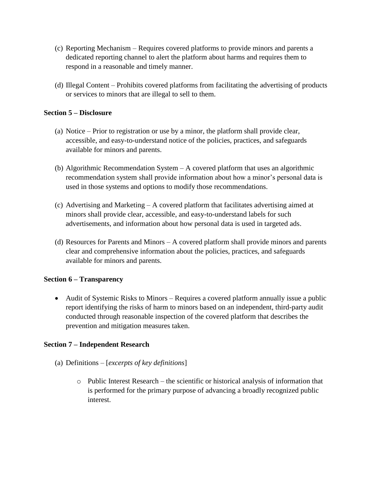- (c) Reporting Mechanism Requires covered platforms to provide minors and parents a dedicated reporting channel to alert the platform about harms and requires them to respond in a reasonable and timely manner.
- (d) Illegal Content Prohibits covered platforms from facilitating the advertising of products or services to minors that are illegal to sell to them.

### **Section 5 – Disclosure**

- (a) Notice Prior to registration or use by a minor, the platform shall provide clear, accessible, and easy-to-understand notice of the policies, practices, and safeguards available for minors and parents.
- (b) Algorithmic Recommendation System A covered platform that uses an algorithmic recommendation system shall provide information about how a minor's personal data is used in those systems and options to modify those recommendations.
- (c) Advertising and Marketing A covered platform that facilitates advertising aimed at minors shall provide clear, accessible, and easy-to-understand labels for such advertisements, and information about how personal data is used in targeted ads.
- (d) Resources for Parents and Minors A covered platform shall provide minors and parents clear and comprehensive information about the policies, practices, and safeguards available for minors and parents.

### **Section 6 – Transparency**

 Audit of Systemic Risks to Minors – Requires a covered platform annually issue a public report identifying the risks of harm to minors based on an independent, third-party audit conducted through reasonable inspection of the covered platform that describes the prevention and mitigation measures taken.

### **Section 7 – Independent Research**

- (a) Definitions [*excerpts of key definitions*]
	- o Public Interest Research the scientific or historical analysis of information that is performed for the primary purpose of advancing a broadly recognized public interest.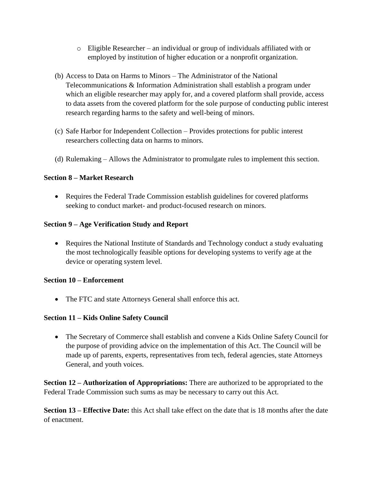- o Eligible Researcher an individual or group of individuals affiliated with or employed by institution of higher education or a nonprofit organization.
- (b) Access to Data on Harms to Minors The Administrator of the National Telecommunications & Information Administration shall establish a program under which an eligible researcher may apply for, and a covered platform shall provide, access to data assets from the covered platform for the sole purpose of conducting public interest research regarding harms to the safety and well-being of minors.
- (c) Safe Harbor for Independent Collection Provides protections for public interest researchers collecting data on harms to minors.
- (d) Rulemaking Allows the Administrator to promulgate rules to implement this section.

# **Section 8 – Market Research**

 Requires the Federal Trade Commission establish guidelines for covered platforms seeking to conduct market- and product-focused research on minors.

# **Section 9 – Age Verification Study and Report**

• Requires the National Institute of Standards and Technology conduct a study evaluating the most technologically feasible options for developing systems to verify age at the device or operating system level.

### **Section 10 – Enforcement**

The FTC and state Attorneys General shall enforce this act.

# **Section 11 – Kids Online Safety Council**

 The Secretary of Commerce shall establish and convene a Kids Online Safety Council for the purpose of providing advice on the implementation of this Act. The Council will be made up of parents, experts, representatives from tech, federal agencies, state Attorneys General, and youth voices.

**Section 12 – Authorization of Appropriations:** There are authorized to be appropriated to the Federal Trade Commission such sums as may be necessary to carry out this Act.

**Section 13 – Effective Date:** this Act shall take effect on the date that is 18 months after the date of enactment.